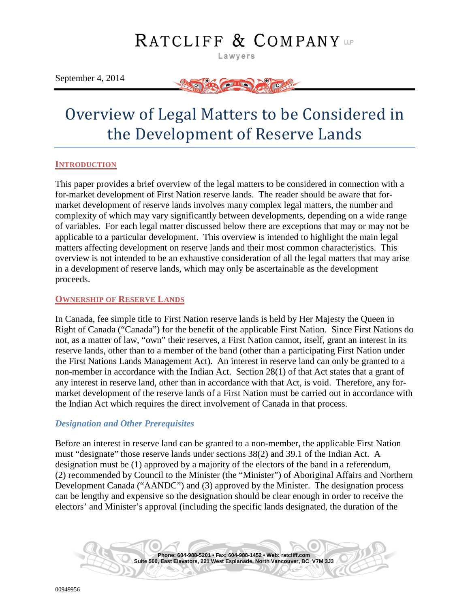# RATCLIFF & COMPANY

Lawyers

September 4, 2014



## Overview of Legal Matters to be Considered in the Development of Reserve Lands

#### <span id="page-0-0"></span>**INTRODUCTION**

This paper provides a brief overview of the legal matters to be considered in connection with a for-market development of First Nation reserve lands. The reader should be aware that formarket development of reserve lands involves many complex legal matters, the number and complexity of which may vary significantly between developments, depending on a wide range of variables. For each legal matter discussed below there are exceptions that may or may not be applicable to a particular development. This overview is intended to highlight the main legal matters affecting development on reserve lands and their most common characteristics. This overview is not intended to be an exhaustive consideration of all the legal matters that may arise in a development of reserve lands, which may only be ascertainable as the development proceeds.

#### <span id="page-0-1"></span>**OWNERSHIP OF RESERVE LANDS**

In Canada, fee simple title to First Nation reserve lands is held by Her Majesty the Queen in Right of Canada ("Canada") for the benefit of the applicable First Nation. Since First Nations do not, as a matter of law, "own" their reserves, a First Nation cannot, itself, grant an interest in its reserve lands, other than to a member of the band (other than a participating First Nation under the First Nations Lands Management Act). An interest in reserve land can only be granted to a non-member in accordance with the Indian Act. Section 28(1) of that Act states that a grant of any interest in reserve land, other than in accordance with that Act, is void. Therefore, any formarket development of the reserve lands of a First Nation must be carried out in accordance with the Indian Act which requires the direct involvement of Canada in that process.

#### <span id="page-0-2"></span>*Designation and Other Prerequisites*

Before an interest in reserve land can be granted to a non-member, the applicable First Nation must "designate" those reserve lands under sections 38(2) and 39.1 of the Indian Act. A designation must be (1) approved by a majority of the electors of the band in a referendum, (2) recommended by Council to the Minister (the "Minister") of Aboriginal Affairs and Northern Development Canada ("AANDC") and (3) approved by the Minister. The designation process can be lengthy and expensive so the designation should be clear enough in order to receive the electors' and Minister's approval (including the specific lands designated, the duration of the

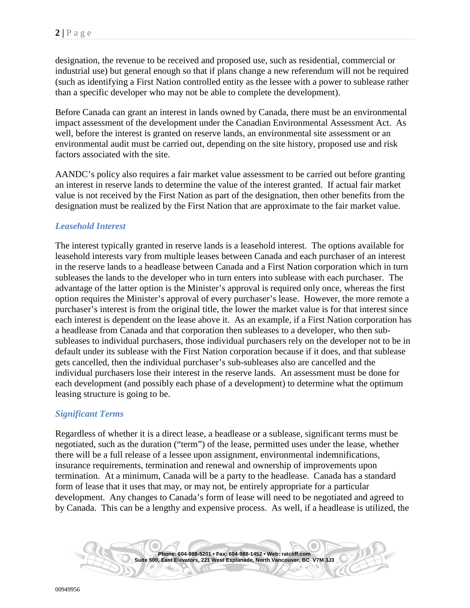designation, the revenue to be received and proposed use, such as residential, commercial or industrial use) but general enough so that if plans change a new referendum will not be required (such as identifying a First Nation controlled entity as the lessee with a power to sublease rather than a specific developer who may not be able to complete the development).

Before Canada can grant an interest in lands owned by Canada, there must be an environmental impact assessment of the development under the Canadian Environmental Assessment Act. As well, before the interest is granted on reserve lands, an environmental site assessment or an environmental audit must be carried out, depending on the site history, proposed use and risk factors associated with the site.

AANDC's policy also requires a fair market value assessment to be carried out before granting an interest in reserve lands to determine the value of the interest granted. If actual fair market value is not received by the First Nation as part of the designation, then other benefits from the designation must be realized by the First Nation that are approximate to the fair market value.

## <span id="page-1-0"></span>*Leasehold Interest*

The interest typically granted in reserve lands is a leasehold interest. The options available for leasehold interests vary from multiple leases between Canada and each purchaser of an interest in the reserve lands to a headlease between Canada and a First Nation corporation which in turn subleases the lands to the developer who in turn enters into sublease with each purchaser. The advantage of the latter option is the Minister's approval is required only once, whereas the first option requires the Minister's approval of every purchaser's lease. However, the more remote a purchaser's interest is from the original title, the lower the market value is for that interest since each interest is dependent on the lease above it. As an example, if a First Nation corporation has a headlease from Canada and that corporation then subleases to a developer, who then subsubleases to individual purchasers, those individual purchasers rely on the developer not to be in default under its sublease with the First Nation corporation because if it does, and that sublease gets cancelled, then the individual purchaser's sub-subleases also are cancelled and the individual purchasers lose their interest in the reserve lands. An assessment must be done for each development (and possibly each phase of a development) to determine what the optimum leasing structure is going to be.

## <span id="page-1-1"></span>*Significant Terms*

Regardless of whether it is a direct lease, a headlease or a sublease, significant terms must be negotiated, such as the duration ("term") of the lease, permitted uses under the lease, whether there will be a full release of a lessee upon assignment, environmental indemnifications, insurance requirements, termination and renewal and ownership of improvements upon termination. At a minimum, Canada will be a party to the headlease. Canada has a standard form of lease that it uses that may, or may not, be entirely appropriate for a particular development. Any changes to Canada's form of lease will need to be negotiated and agreed to by Canada. This can be a lengthy and expensive process. As well, if a headlease is utilized, the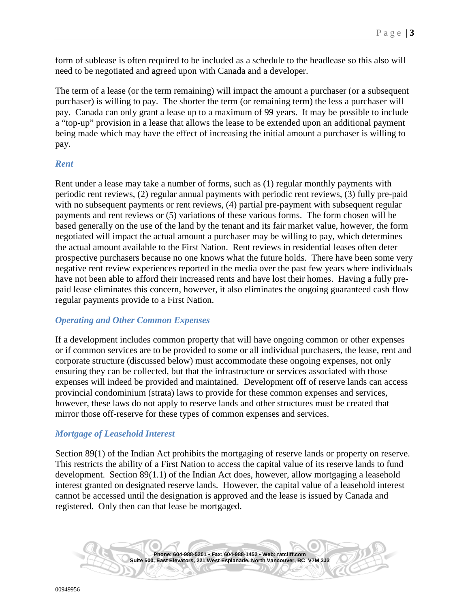form of sublease is often required to be included as a schedule to the headlease so this also will need to be negotiated and agreed upon with Canada and a developer.

The term of a lease (or the term remaining) will impact the amount a purchaser (or a subsequent purchaser) is willing to pay. The shorter the term (or remaining term) the less a purchaser will pay. Canada can only grant a lease up to a maximum of 99 years. It may be possible to include a "top-up" provision in a lease that allows the lease to be extended upon an additional payment being made which may have the effect of increasing the initial amount a purchaser is willing to pay.

#### <span id="page-2-0"></span>*Rent*

Rent under a lease may take a number of forms, such as (1) regular monthly payments with periodic rent reviews, (2) regular annual payments with periodic rent reviews, (3) fully pre-paid with no subsequent payments or rent reviews, (4) partial pre-payment with subsequent regular payments and rent reviews or (5) variations of these various forms. The form chosen will be based generally on the use of the land by the tenant and its fair market value, however, the form negotiated will impact the actual amount a purchaser may be willing to pay, which determines the actual amount available to the First Nation. Rent reviews in residential leases often deter prospective purchasers because no one knows what the future holds. There have been some very negative rent review experiences reported in the media over the past few years where individuals have not been able to afford their increased rents and have lost their homes. Having a fully prepaid lease eliminates this concern, however, it also eliminates the ongoing guaranteed cash flow regular payments provide to a First Nation.

## <span id="page-2-1"></span>*Operating and Other Common Expenses*

If a development includes common property that will have ongoing common or other expenses or if common services are to be provided to some or all individual purchasers, the lease, rent and corporate structure (discussed below) must accommodate these ongoing expenses, not only ensuring they can be collected, but that the infrastructure or services associated with those expenses will indeed be provided and maintained. Development off of reserve lands can access provincial condominium (strata) laws to provide for these common expenses and services, however, these laws do not apply to reserve lands and other structures must be created that mirror those off-reserve for these types of common expenses and services.

## <span id="page-2-2"></span>*Mortgage of Leasehold Interest*

Section 89(1) of the Indian Act prohibits the mortgaging of reserve lands or property on reserve. This restricts the ability of a First Nation to access the capital value of its reserve lands to fund development. Section 89(1.1) of the Indian Act does, however, allow mortgaging a leasehold interest granted on designated reserve lands. However, the capital value of a leasehold interest cannot be accessed until the designation is approved and the lease is issued by Canada and registered. Only then can that lease be mortgaged.

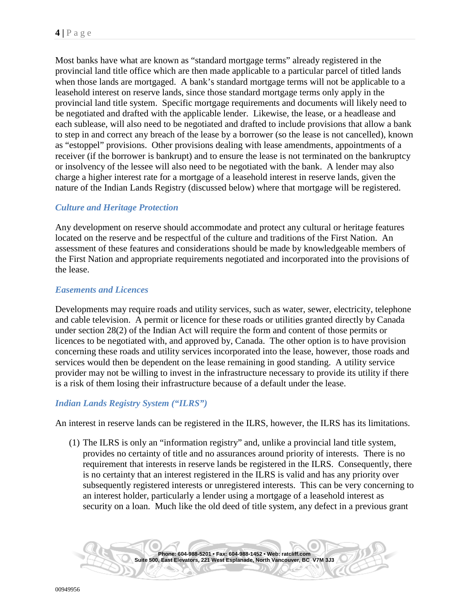Most banks have what are known as "standard mortgage terms" already registered in the provincial land title office which are then made applicable to a particular parcel of titled lands when those lands are mortgaged. A bank's standard mortgage terms will not be applicable to a leasehold interest on reserve lands, since those standard mortgage terms only apply in the provincial land title system. Specific mortgage requirements and documents will likely need to be negotiated and drafted with the applicable lender. Likewise, the lease, or a headlease and each sublease, will also need to be negotiated and drafted to include provisions that allow a bank to step in and correct any breach of the lease by a borrower (so the lease is not cancelled), known as "estoppel" provisions. Other provisions dealing with lease amendments, appointments of a receiver (if the borrower is bankrupt) and to ensure the lease is not terminated on the bankruptcy or insolvency of the lessee will also need to be negotiated with the bank. A lender may also charge a higher interest rate for a mortgage of a leasehold interest in reserve lands, given the nature of the Indian Lands Registry (discussed below) where that mortgage will be registered.

## <span id="page-3-0"></span>*Culture and Heritage Protection*

Any development on reserve should accommodate and protect any cultural or heritage features located on the reserve and be respectful of the culture and traditions of the First Nation. An assessment of these features and considerations should be made by knowledgeable members of the First Nation and appropriate requirements negotiated and incorporated into the provisions of the lease.

#### <span id="page-3-1"></span>*Easements and Licences*

Developments may require roads and utility services, such as water, sewer, electricity, telephone and cable television. A permit or licence for these roads or utilities granted directly by Canada under section 28(2) of the Indian Act will require the form and content of those permits or licences to be negotiated with, and approved by, Canada. The other option is to have provision concerning these roads and utility services incorporated into the lease, however, those roads and services would then be dependent on the lease remaining in good standing. A utility service provider may not be willing to invest in the infrastructure necessary to provide its utility if there is a risk of them losing their infrastructure because of a default under the lease.

#### <span id="page-3-2"></span>*Indian Lands Registry System ("ILRS")*

An interest in reserve lands can be registered in the ILRS, however, the ILRS has its limitations.

(1) The ILRS is only an "information registry" and, unlike a provincial land title system, provides no certainty of title and no assurances around priority of interests. There is no requirement that interests in reserve lands be registered in the ILRS. Consequently, there is no certainty that an interest registered in the ILRS is valid and has any priority over subsequently registered interests or unregistered interests. This can be very concerning to an interest holder, particularly a lender using a mortgage of a leasehold interest as security on a loan. Much like the old deed of title system, any defect in a previous grant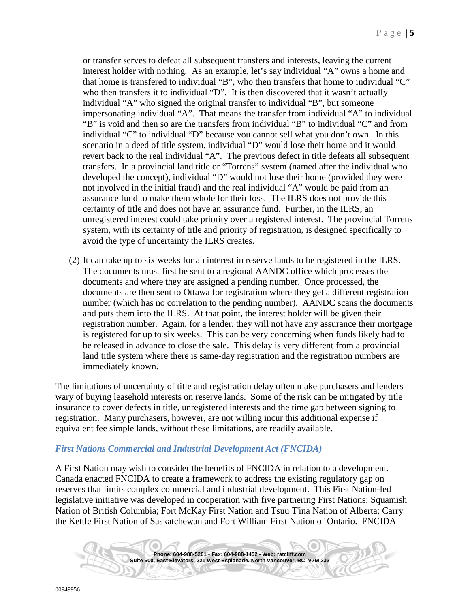or transfer serves to defeat all subsequent transfers and interests, leaving the current interest holder with nothing. As an example, let's say individual "A" owns a home and that home is transfered to individual "B", who then transfers that home to individual "C" who then transfers it to individual "D". It is then discovered that it wasn't actually individual "A" who signed the original transfer to individual "B", but someone impersonating individual "A". That means the transfer from individual "A" to individual "B" is void and then so are the transfers from individual "B" to individual "C" and from individual "C" to individual "D" because you cannot sell what you don't own. In this scenario in a deed of title system, individual "D" would lose their home and it would revert back to the real individual "A". The previous defect in title defeats all subsequent transfers. In a provincial land title or "Torrens" system (named after the individual who developed the concept), individual "D" would not lose their home (provided they were not involved in the initial fraud) and the real individual "A" would be paid from an assurance fund to make them whole for their loss. The ILRS does not provide this certainty of title and does not have an assurance fund. Further, in the ILRS, an unregistered interest could take priority over a registered interest. The provincial Torrens system, with its certainty of title and priority of registration, is designed specifically to avoid the type of uncertainty the ILRS creates.

(2) It can take up to six weeks for an interest in reserve lands to be registered in the ILRS. The documents must first be sent to a regional AANDC office which processes the documents and where they are assigned a pending number. Once processed, the documents are then sent to Ottawa for registration where they get a different registration number (which has no correlation to the pending number). AANDC scans the documents and puts them into the ILRS. At that point, the interest holder will be given their registration number. Again, for a lender, they will not have any assurance their mortgage is registered for up to six weeks. This can be very concerning when funds likely had to be released in advance to close the sale. This delay is very different from a provincial land title system where there is same-day registration and the registration numbers are immediately known.

The limitations of uncertainty of title and registration delay often make purchasers and lenders wary of buying leasehold interests on reserve lands. Some of the risk can be mitigated by title insurance to cover defects in title, unregistered interests and the time gap between signing to registration. Many purchasers, however, are not willing incur this additional expense if equivalent fee simple lands, without these limitations, are readily available.

#### <span id="page-4-0"></span>*First Nations Commercial and Industrial Development Act (FNCIDA)*

A First Nation may wish to consider the benefits of FNCIDA in relation to a development. Canada enacted FNCIDA to create a framework to address the existing regulatory gap on reserves that limits complex commercial and industrial development. This First Nation-led legislative initiative was developed in cooperation with five partnering First Nations: Squamish Nation of British Columbia; Fort McKay First Nation and Tsuu T'ina Nation of Alberta; Carry the Kettle First Nation of Saskatchewan and Fort William First Nation of Ontario. FNCIDA

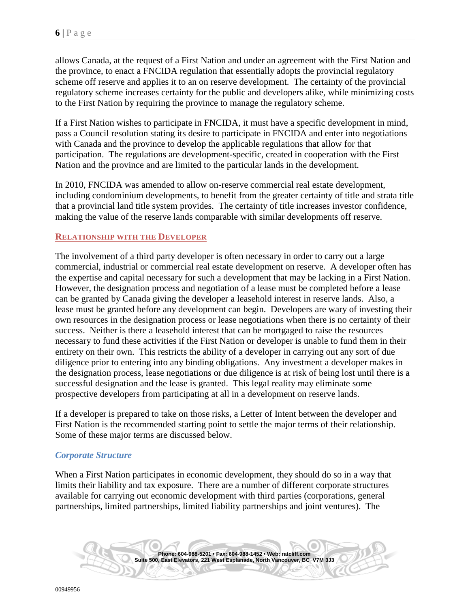allows Canada, at the request of a First Nation and under an agreement with the First Nation and the province, to enact a FNCIDA regulation that essentially adopts the provincial regulatory scheme off reserve and applies it to an on reserve development. The certainty of the provincial regulatory scheme increases certainty for the public and developers alike, while minimizing costs to the First Nation by requiring the province to manage the regulatory scheme.

If a First Nation wishes to participate in FNCIDA, it must have a specific development in mind, pass a Council resolution stating its desire to participate in FNCIDA and enter into negotiations with Canada and the province to develop the applicable regulations that allow for that participation. The regulations are development-specific, created in cooperation with the First Nation and the province and are limited to the particular lands in the development.

In 2010, FNCIDA was amended to allow on-reserve commercial real estate development, including condominium developments, to benefit from the greater certainty of title and strata title that a provincial land title system provides. The certainty of title increases investor confidence, making the value of the reserve lands comparable with similar developments off reserve.

#### <span id="page-5-0"></span>**RELATIONSHIP WITH THE DEVELOPER**

The involvement of a third party developer is often necessary in order to carry out a large commercial, industrial or commercial real estate development on reserve. A developer often has the expertise and capital necessary for such a development that may be lacking in a First Nation. However, the designation process and negotiation of a lease must be completed before a lease can be granted by Canada giving the developer a leasehold interest in reserve lands. Also, a lease must be granted before any development can begin. Developers are wary of investing their own resources in the designation process or lease negotiations when there is no certainty of their success. Neither is there a leasehold interest that can be mortgaged to raise the resources necessary to fund these activities if the First Nation or developer is unable to fund them in their entirety on their own. This restricts the ability of a developer in carrying out any sort of due diligence prior to entering into any binding obligations. Any investment a developer makes in the designation process, lease negotiations or due diligence is at risk of being lost until there is a successful designation and the lease is granted. This legal reality may eliminate some prospective developers from participating at all in a development on reserve lands.

If a developer is prepared to take on those risks, a Letter of Intent between the developer and First Nation is the recommended starting point to settle the major terms of their relationship. Some of these major terms are discussed below.

## <span id="page-5-1"></span>*Corporate Structure*

When a First Nation participates in economic development, they should do so in a way that limits their liability and tax exposure. There are a number of different corporate structures available for carrying out economic development with third parties (corporations, general partnerships, limited partnerships, limited liability partnerships and joint ventures). The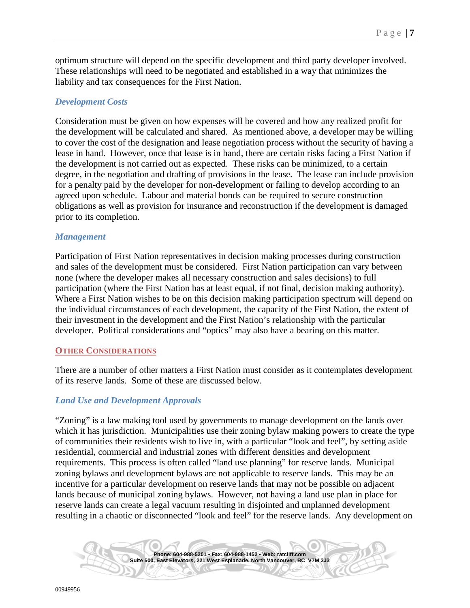optimum structure will depend on the specific development and third party developer involved. These relationships will need to be negotiated and established in a way that minimizes the liability and tax consequences for the First Nation.

#### <span id="page-6-0"></span>*Development Costs*

Consideration must be given on how expenses will be covered and how any realized profit for the development will be calculated and shared. As mentioned above, a developer may be willing to cover the cost of the designation and lease negotiation process without the security of having a lease in hand. However, once that lease is in hand, there are certain risks facing a First Nation if the development is not carried out as expected. These risks can be minimized, to a certain degree, in the negotiation and drafting of provisions in the lease. The lease can include provision for a penalty paid by the developer for non-development or failing to develop according to an agreed upon schedule. Labour and material bonds can be required to secure construction obligations as well as provision for insurance and reconstruction if the development is damaged prior to its completion.

#### *Management*

Participation of First Nation representatives in decision making processes during construction and sales of the development must be considered. First Nation participation can vary between none (where the developer makes all necessary construction and sales decisions) to full participation (where the First Nation has at least equal, if not final, decision making authority). Where a First Nation wishes to be on this decision making participation spectrum will depend on the individual circumstances of each development, the capacity of the First Nation, the extent of their investment in the development and the First Nation's relationship with the particular developer. Political considerations and "optics" may also have a bearing on this matter.

#### <span id="page-6-1"></span>**OTHER CONSIDERATIONS**

There are a number of other matters a First Nation must consider as it contemplates development of its reserve lands. Some of these are discussed below.

#### <span id="page-6-2"></span>*Land Use and Development Approvals*

"Zoning" is a law making tool used by governments to manage development on the lands over which it has jurisdiction. Municipalities use their zoning bylaw making powers to create the type of communities their residents wish to live in, with a particular "look and feel", by setting aside residential, commercial and industrial zones with different densities and development requirements. This process is often called "land use planning" for reserve lands. Municipal zoning bylaws and development bylaws are not applicable to reserve lands. This may be an incentive for a particular development on reserve lands that may not be possible on adjacent lands because of municipal zoning bylaws. However, not having a land use plan in place for reserve lands can create a legal vacuum resulting in disjointed and unplanned development resulting in a chaotic or disconnected "look and feel" for the reserve lands. Any development on

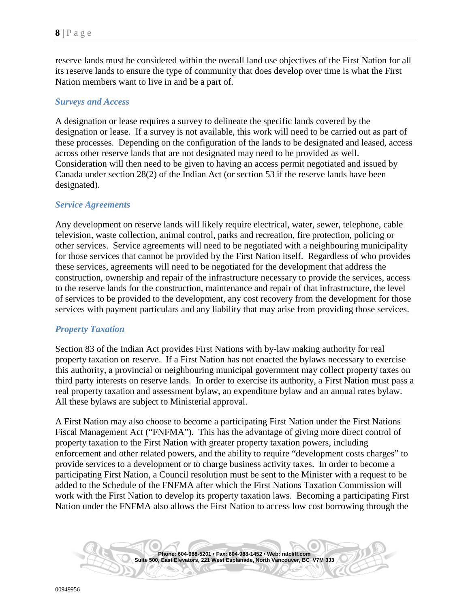reserve lands must be considered within the overall land use objectives of the First Nation for all its reserve lands to ensure the type of community that does develop over time is what the First Nation members want to live in and be a part of.

#### <span id="page-7-0"></span>*Surveys and Access*

A designation or lease requires a survey to delineate the specific lands covered by the designation or lease. If a survey is not available, this work will need to be carried out as part of these processes. Depending on the configuration of the lands to be designated and leased, access across other reserve lands that are not designated may need to be provided as well. Consideration will then need to be given to having an access permit negotiated and issued by Canada under section 28(2) of the Indian Act (or section 53 if the reserve lands have been designated).

#### <span id="page-7-1"></span>*Service Agreements*

Any development on reserve lands will likely require electrical, water, sewer, telephone, cable television, waste collection, animal control, parks and recreation, fire protection, policing or other services. Service agreements will need to be negotiated with a neighbouring municipality for those services that cannot be provided by the First Nation itself. Regardless of who provides these services, agreements will need to be negotiated for the development that address the construction, ownership and repair of the infrastructure necessary to provide the services, access to the reserve lands for the construction, maintenance and repair of that infrastructure, the level of services to be provided to the development, any cost recovery from the development for those services with payment particulars and any liability that may arise from providing those services.

## <span id="page-7-2"></span>*Property Taxation*

Section 83 of the Indian Act provides First Nations with by-law making authority for real property taxation on reserve. If a First Nation has not enacted the bylaws necessary to exercise this authority, a provincial or neighbouring municipal government may collect property taxes on third party interests on reserve lands. In order to exercise its authority, a First Nation must pass a real property taxation and assessment bylaw, an expenditure bylaw and an annual rates bylaw. All these bylaws are subject to Ministerial approval.

A First Nation may also choose to become a participating First Nation under the First Nations Fiscal Management Act ("FNFMA"). This has the advantage of giving more direct control of property taxation to the First Nation with greater property taxation powers, including enforcement and other related powers, and the ability to require "development costs charges" to provide services to a development or to charge business activity taxes. In order to become a participating First Nation, a Council resolution must be sent to the Minister with a request to be added to the Schedule of the FNFMA after which the First Nations Taxation Commission will work with the First Nation to develop its property taxation laws. Becoming a participating First Nation under the FNFMA also allows the First Nation to access low cost borrowing through the

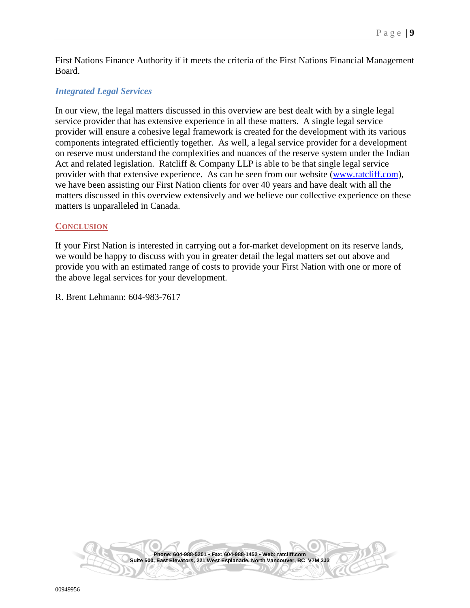First Nations Finance Authority if it meets the criteria of the First Nations Financial Management Board.

### <span id="page-8-0"></span>*Integrated Legal Services*

In our view, the legal matters discussed in this overview are best dealt with by a single legal service provider that has extensive experience in all these matters. A single legal service provider will ensure a cohesive legal framework is created for the development with its various components integrated efficiently together. As well, a legal service provider for a development on reserve must understand the complexities and nuances of the reserve system under the Indian Act and related legislation. Ratcliff  $& Company$  LLP is able to be that single legal service provider with that extensive experience. As can be seen from our website [\(www.ratcliff.com\)](http://www.ratcliff.com/), we have been assisting our First Nation clients for over 40 years and have dealt with all the matters discussed in this overview extensively and we believe our collective experience on these matters is unparalleled in Canada.

#### <span id="page-8-1"></span>**CONCLUSION**

If your First Nation is interested in carrying out a for-market development on its reserve lands, we would be happy to discuss with you in greater detail the legal matters set out above and provide you with an estimated range of costs to provide your First Nation with one or more of the above legal services for your development.

R. Brent Lehmann: 604-983-7617